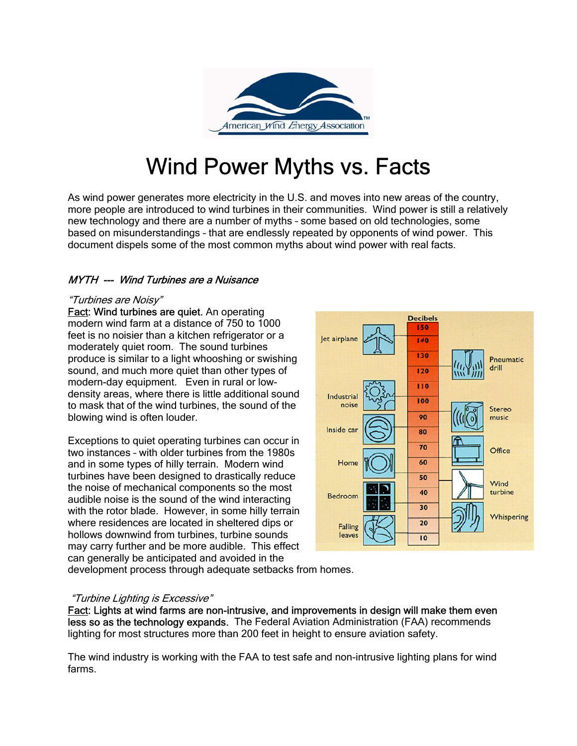

# Wind Power Myths vs. Facts

As wind power generates more electricity in the U.S. and moves into new areas of the country, more people are introduced to wind turbines in their communities. Wind power is still a relatively new technology and there are a number of myths – some based on old technologies, some based on misunderstandings – that are endlessly repeated by opponents of wind power. This document dispels some of the most common myths about wind power with real facts.

### MYTH --- Wind Turbines are a Nuisance

#### "Turbines are Noisy"

Fact: Wind turbines are quiet. An operating modern wind farm at a distance of 750 to 1000 feet is no noisier than a kitchen refrigerator or a moderately quiet room. The sound turbines produce is similar to a light whooshing or swishing sound, and much more quiet than other types of modern-day equipment. Even in rural or lowdensity areas, where there is little additional sound to mask that of the wind turbines, the sound of the blowing wind is often louder.

Exceptions to quiet operating turbines can occur in two instances – with older turbines from the 1980s and in some types of hilly terrain. Modern wind turbines have been designed to drastically reduce the noise of mechanical components so the most audible noise is the sound of the wind interacting with the rotor blade. However, in some hilly terrain where residences are located in sheltered dips or hollows downwind from turbines, turbine sounds may carry further and be more audible. This effect can generally be anticipated and avoided in the



development process through adequate setbacks from homes.

#### "Turbine Lighting is Excessive"

Fact: Lights at wind farms are non-intrusive, and improvements in design will make them even less so as the technology expands. The Federal Aviation Administration (FAA) recommends lighting for most structures more than 200 feet in height to ensure aviation safety.

The wind industry is working with the FAA to test safe and non-intrusive lighting plans for wind farms.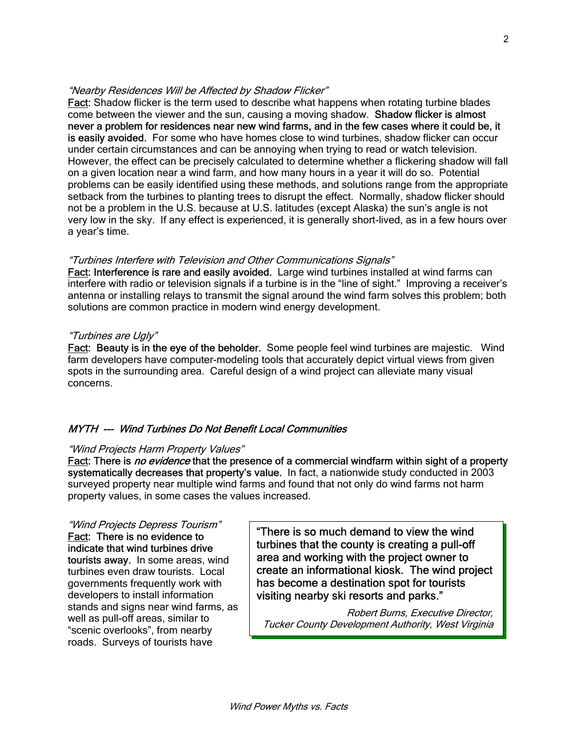#### "Nearby Residences Will be Affected by Shadow Flicker"

Fact: Shadow flicker is the term used to describe what happens when rotating turbine blades come between the viewer and the sun, causing a moving shadow. Shadow flicker is almost never a problem for residences near new wind farms, and in the few cases where it could be, it is easily avoided. For some who have homes close to wind turbines, shadow flicker can occur under certain circumstances and can be annoying when trying to read or watch television. However, the effect can be precisely calculated to determine whether a flickering shadow will fall on a given location near a wind farm, and how many hours in a year it will do so. Potential problems can be easily identified using these methods, and solutions range from the appropriate setback from the turbines to planting trees to disrupt the effect. Normally, shadow flicker should not be a problem in the U.S. because at U.S. latitudes (except Alaska) the sun's angle is not very low in the sky. If any effect is experienced, it is generally short-lived, as in a few hours over a year's time.

#### "Turbines Interfere with Television and Other Communications Signals"

Fact: Interference is rare and easily avoided. Large wind turbines installed at wind farms can interfere with radio or television signals if a turbine is in the "line of sight." Improving a receiver's antenna or installing relays to transmit the signal around the wind farm solves this problem; both solutions are common practice in modern wind energy development.

#### "Turbines are Ugly"

Fact: Beauty is in the eye of the beholder. Some people feel wind turbines are majestic. Wind farm developers have computer-modeling tools that accurately depict virtual views from given spots in the surrounding area. Careful design of a wind project can alleviate many visual concerns.

### MYTH --- Wind Turbines Do Not Benefit Local Communities

#### "Wind Projects Harm Property Values"

Fact: There is no evidence that the presence of a commercial windfarm within sight of a property systematically decreases that property's value. In fact, a nationwide study conducted in 2003 surveyed property near multiple wind farms and found that not only do wind farms not harm property values, in some cases the values increased.

Fact: There is no evidence to indicate that wind turbines drive tourists away. In some areas, wind turbines even draw tourists. Local governments frequently work with developers to install information stands and signs near wind farms, as well as pull-off areas, similar to "scenic overlooks", from nearby roads. Surveys of tourists have

"Wind Projects Depress Tourism"  $\sqrt{\frac{m}{n}}$  There is so much demand to view the wind turbines that the county is creating a pull-off area and working with the project owner to create an informational kiosk. The wind project has become a destination spot for tourists visiting nearby ski resorts and parks."

> Robert Burns, Executive Director, Tucker County Development Authority, West Virginia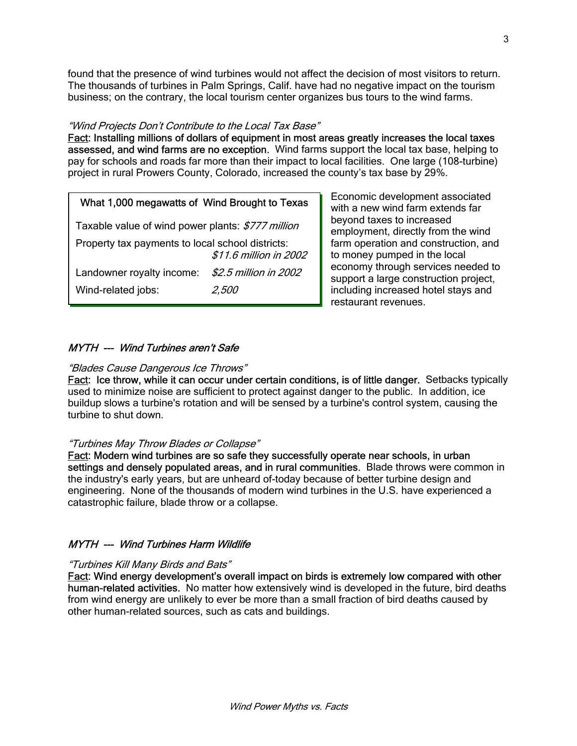found that the presence of wind turbines would not affect the decision of most visitors to return. The thousands of turbines in Palm Springs, Calif. have had no negative impact on the tourism business; on the contrary, the local tourism center organizes bus tours to the wind farms.

#### "Wind Projects Don't Contribute to the Local Tax Base"

Fact: Installing millions of dollars of equipment in most areas greatly increases the local taxes assessed, and wind farms are no exception. Wind farms support the local tax base, helping to pay for schools and roads far more than their impact to local facilities. One large (108-turbine) project in rural Prowers County, Colorado, increased the county's tax base by 29%.

#### What 1,000 megawatts of Wind Brought to Texas

Taxable value of wind power plants: \$777 million Property tax payments to local school districts: \$11.6 million in 2002 Landowner royalty income: \$2.5 million in 2002 Wind-related jobs: 2,500

Economic development associated with a new wind farm extends far beyond taxes to increased employment, directly from the wind farm operation and construction, and to money pumped in the local economy through services needed to support a large construction project, including increased hotel stays and restaurant revenues.

#### MYTH --- Wind Turbines aren't Safe

#### "Blades Cause Dangerous Ice Throws"

Fact: Ice throw, while it can occur under certain conditions, is of little danger. Setbacks typically used to minimize noise are sufficient to protect against danger to the public. In addition, ice buildup slows a turbine's rotation and will be sensed by a turbine's control system, causing the turbine to shut down.

#### "Turbines May Throw Blades or Collapse"

Fact: Modern wind turbines are so safe they successfully operate near schools, in urban settings and densely populated areas, and in rural communities. Blade throws were common in the industry's early years, but are unheard of-today because of better turbine design and engineering. None of the thousands of modern wind turbines in the U.S. have experienced a catastrophic failure, blade throw or a collapse.

#### MYTH --- Wind Turbines Harm Wildlife

#### "Turbines Kill Many Birds and Bats"

Fact: Wind energy development's overall impact on birds is extremely low compared with other human-related activities. No matter how extensively wind is developed in the future, bird deaths from wind energy are unlikely to ever be more than a small fraction of bird deaths caused by other human-related sources, such as cats and buildings.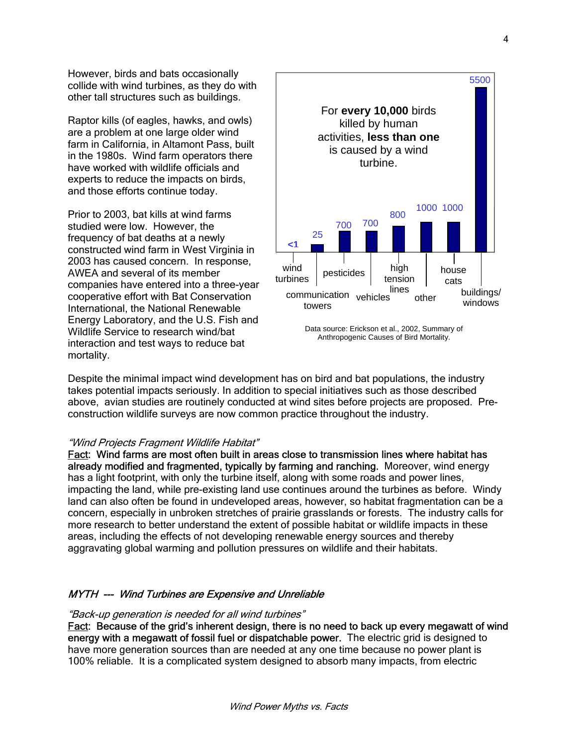However, birds and bats occasionally collide with wind turbines, as they do with other tall structures such as buildings.

Raptor kills (of eagles, hawks, and owls) are a problem at one large older wind farm in California, in Altamont Pass, built in the 1980s. Wind farm operators there have worked with wildlife officials and experts to reduce the impacts on birds, and those efforts continue today.

Prior to 2003, bat kills at wind farms studied were low. However, the frequency of bat deaths at a newly constructed wind farm in West Virginia in 2003 has caused concern. In response, AWEA and several of its member companies have entered into a three-year cooperative effort with Bat Conservation International, the National Renewable Energy Laboratory, and the U.S. Fish and Wildlife Service to research wind/bat interaction and test ways to reduce bat mortality.



Despite the minimal impact wind development has on bird and bat populations, the industry takes potential impacts seriously. In addition to special initiatives such as those described above, avian studies are routinely conducted at wind sites before projects are proposed. Preconstruction wildlife surveys are now common practice throughout the industry.

#### "Wind Projects Fragment Wildlife Habitat"

Fact: Wind farms are most often built in areas close to transmission lines where habitat has already modified and fragmented, typically by farming and ranching. Moreover, wind energy has a light footprint, with only the turbine itself, along with some roads and power lines, impacting the land, while pre-existing land use continues around the turbines as before. Windy land can also often be found in undeveloped areas, however, so habitat fragmentation can be a concern, especially in unbroken stretches of prairie grasslands or forests. The industry calls for more research to better understand the extent of possible habitat or wildlife impacts in these areas, including the effects of not developing renewable energy sources and thereby aggravating global warming and pollution pressures on wildlife and their habitats.

#### MYTH --- Wind Turbines are Expensive and Unreliable

#### "Back-up generation is needed for all wind turbines"

Fact: Because of the grid's inherent design, there is no need to back up every megawatt of wind energy with a megawatt of fossil fuel or dispatchable power. The electric grid is designed to have more generation sources than are needed at any one time because no power plant is 100% reliable. It is a complicated system designed to absorb many impacts, from electric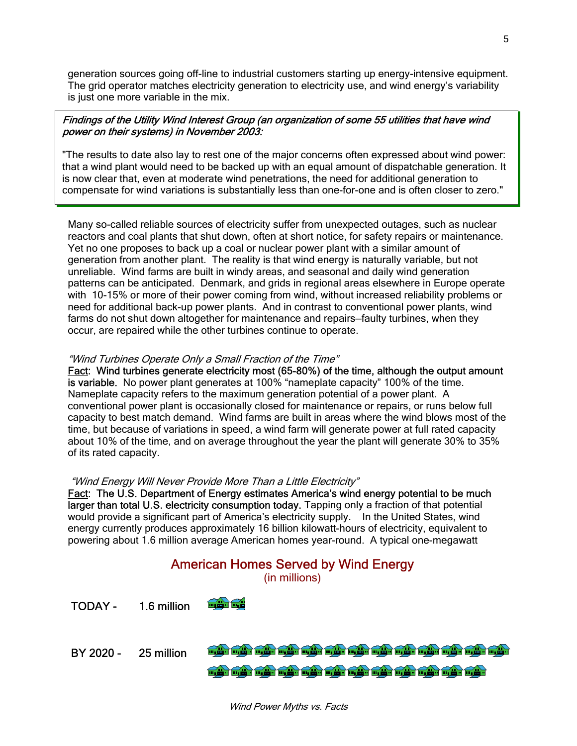generation sources going off-line to industrial customers starting up energy-intensive equipment. The grid operator matches electricity generation to electricity use, and wind energy's variability is just one more variable in the mix.

#### Findings of the Utility Wind Interest Group (an organization of some 55 utilities that have wind power on their systems) in November 2003:

"The results to date also lay to rest one of the major concerns often expressed about wind power: that a wind plant would need to be backed up with an equal amount of dispatchable generation. It is now clear that, even at moderate wind penetrations, the need for additional generation to compensate for wind variations is substantially less than one-for-one and is often closer to zero."

Many so-called reliable sources of electricity suffer from unexpected outages, such as nuclear reactors and coal plants that shut down, often at short notice, for safety repairs or maintenance. Yet no one proposes to back up a coal or nuclear power plant with a similar amount of generation from another plant. The reality is that wind energy is naturally variable, but not unreliable. Wind farms are built in windy areas, and seasonal and daily wind generation patterns can be anticipated. Denmark, and grids in regional areas elsewhere in Europe operate with 10-15% or more of their power coming from wind, without increased reliability problems or need for additional back-up power plants. And in contrast to conventional power plants, wind farms do not shut down altogether for maintenance and repairs—faulty turbines, when they occur, are repaired while the other turbines continue to operate.

#### "Wind Turbines Operate Only a Small Fraction of the Time"

Fact: Wind turbines generate electricity most (65-80%) of the time, although the output amount is variable. No power plant generates at 100% "nameplate capacity" 100% of the time. Nameplate capacity refers to the maximum generation potential of a power plant. A conventional power plant is occasionally closed for maintenance or repairs, or runs below full capacity to best match demand. Wind farms are built in areas where the wind blows most of the time, but because of variations in speed, a wind farm will generate power at full rated capacity about 10% of the time, and on average throughout the year the plant will generate 30% to 35% of its rated capacity.

#### "Wind Energy Will Never Provide More Than a Little Electricity"

Fact: The U.S. Department of Energy estimates America's wind energy potential to be much larger than total U.S. electricity consumption today. Tapping only a fraction of that potential would provide a significant part of America's electricity supply. In the United States, wind energy currently produces approximately 16 billion kilowatt-hours of electricity, equivalent to powering about 1.6 million average American homes year-round. A typical one-megawatt



Wind Power Myths vs. Facts